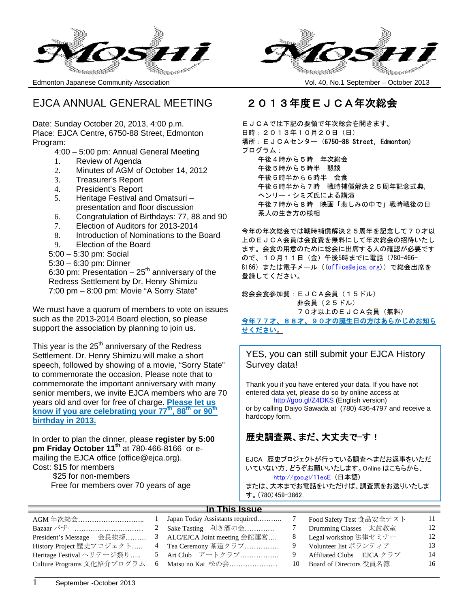

Edmonton Japanese Community Association Vol. 40, No.1 September – October 2013



# EJCA ANNUAL GENERAL MEETING 2013年度EJCA年次総会

Date: Sunday October 20, 2013, 4:00 p.m. Place: EJCA Centre, 6750-88 Street, Edmonton Program:

- 4:00 5:00 pm: Annual General Meeting
- 1. Review of Agenda
- 2. Minutes of AGM of October 14, 2012
- 3. Treasurer's Report
- 4. President's Report
- 5. Heritage Festival and Omatsuri presentation and floor discussion
- 6. Congratulation of Birthdays: 77, 88 and 90
- 7. Election of Auditors for 2013-2014
- 8. Introduction of Nominations to the Board
- 9. Election of the Board
- 5:00 5:30 pm: Social
- 5:30 6:30 pm: Dinner

6:30 pm: Presentation  $-25<sup>th</sup>$  anniversary of the Redress Settlement by Dr. Henry Shimizu 7:00 pm – 8:00 pm: Movie "A Sorry State"

We must have a quorum of members to vote on issues such as the 2013-2014 Board election, so please support the association by planning to join us.

This year is the  $25<sup>th</sup>$  anniversary of the Redress Settlement. Dr. Henry Shimizu will make a short speech, followed by showing of a movie, "Sorry State" to commemorate the occasion. Please note that to commemorate the important anniversary with many senior members, we invite EJCA members who are 70 years old and over for free of charge. **Please let us**  know if you are celebrating your 77<sup>th</sup>, 88<sup>th</sup> or 90<sup>th</sup> **birthday in 2013.**

In order to plan the dinner, please **register by 5:00 pm Friday October 11th** at 780-466-8166 or emailing the EJCA office (office@ejca.org). Cost: \$15 for members

 \$25 for non-members Free for members over 70 years of age

EJCAでは下記の要領で年次総会を開きます。 日時:2013年10月20日(日) 場所:EJCAセンター (6750-88 Street, Edmonton) プログラム: 午後4時から5時 年次総会 午後5時から5時半 懇談 午後5時半から6時半 会食 午後6時半から7時 戦時補償解決25周年記念式典, ヘンリー・シミズ氏による講演 午後7時から8時 映画「悲しみの中で」戦時戦後の日 系人の生き方の様相

今年の年次総会では戦時補償解決25周年を記念して70才以 上のEJCA会員は会食費を無料にして年次総会の招待いたし ます。会食の用意のために総会に出席する人の確認が必要です ので、10月11日(金)午後5時までに電話(780-466- 8166)または電子メール((office@ejca.org))で総会出席を 登録してください。

総会会食参加費:EJCA会員(15ドル) 非会員 (25ドル) 70才以上のEJCA会員(無料)

今年77才、88才、90才の誕生日の方はあらかじめお知ら せください。

YES, you can still submit your EJCA History Survey data!

Thank you if you have entered your data. If you have not entered data yet, please do so by online access at http://goo.gl/Z4DKS (English version) or by calling Daiyo Sawada at (780) 436-4797 and receive a hardcopy form.

# 歴史調査票、まだ、大丈夫で-す!

EJCA 歴史プロジェクトが行っている調査へまだお返事をいただ いていない方、どうぞお願いいたします。Online はこちらから、 http://goo.gl/11ecE (日本語)

または、大木までお電話をいただけば、調査票をお送りいたしま す。(780)459-3862.

# **In This Issue**

|                                                        |  |                                                   |    | Food Safety Test 食品安全テスト  | 11 |
|--------------------------------------------------------|--|---------------------------------------------------|----|---------------------------|----|
| Bazaar バザー                                             |  | 2 Sake Tasting 利き酒の会                              |    | Drumming Classes 太鼓教室     | 12 |
| President's Message 会長挨拶 3 ALC/EJCA Joint meeting 会館運営 |  |                                                   |    | Legal workshop 法律セミナー     | 12 |
| History Project 歴史プロジェクト                               |  | 4 Tea Ceremony 茶道クラブ                              |    | Volunteer list ボランティア     | 13 |
| Heritage Festival ヘリテージ祭り                              |  | 5 Art Club アートクラブ                                 |    | Affiliated Clubs EJCA クラブ | 14 |
|                                                        |  | Culture Programs 文化紹介プログラム - 6 - Matsu no Kai 松の会 | 10 | Board of Directors 役員名簿   | 16 |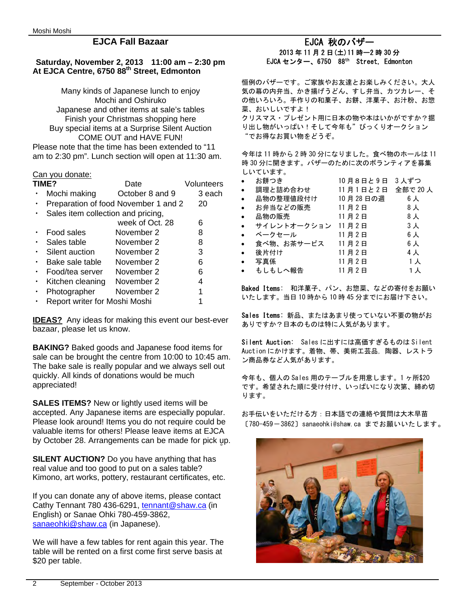# **EJCA Fall Bazaar**

## **Saturday, November 2, 2013 11:00 am – 2:30 pm At EJCA Centre, 6750 88th Street, Edmonton**

Many kinds of Japanese lunch to enjoy Mochi and Oshiruko Japanese and other items at sale's tables Finish your Christmas shopping here Buy special items at a Surprise Silent Auction COME OUT and HAVE FUN!

Please note that the time has been extended to "11 am to 2:30 pm". Lunch section will open at 11:30 am.

#### Can you donate:

| <b>TIME?</b>                       | Date                                 | Volunteers |
|------------------------------------|--------------------------------------|------------|
| Mochi making                       | October 8 and 9                      | 3 each     |
|                                    | Preparation of food November 1 and 2 | 20         |
| Sales item collection and pricing, |                                      |            |
|                                    | week of Oct. 28                      | 6          |
| Food sales                         | November 2                           | 8          |
| Sales table                        | November 2                           | 8          |
| Silent auction                     | November 2                           | 3          |
| Bake sale table                    | November 2                           | 6          |
| Food/tea server                    | November 2                           | 6          |
| Kitchen cleaning                   | November 2                           |            |
| Photographer                       | November 2                           |            |
| Report writer for Moshi Moshi      |                                      |            |

**IDEAS?** Any ideas for making this event our best-ever bazaar, please let us know.

**BAKING?** Baked goods and Japanese food items for sale can be brought the centre from 10:00 to 10:45 am. The bake sale is really popular and we always sell out quickly. All kinds of donations would be much appreciated!

**SALES ITEMS?** New or lightly used items will be accepted. Any Japanese items are especially popular. Please look around! Items you do not require could be valuable items for others! Please leave items at EJCA by October 28. Arrangements can be made for pick unp.

**SILENT AUCTION?** Do you have anything that has real value and too good to put on a sales table? Kimono, art works, pottery, restaurant certificates, etc.

If you can donate any of above items, please contact Cathy Tennant 780 436-6291, tennant@shaw.ca (in English) or Sanae Ohki 780-459-3862, sanaeohki@shaw.ca (in Japanese).

We will have a few tables for rent again this year. The table will be rented on a first come first serve basis at \$20 per table.

### EJCA 秋のバザー 2013 年 11 月 2 日(土)11 時ー2 時 30 分 EJCA センター、6750 88th Street, Edmonton

恒例のバザーです。ご家族やお友達とお楽しみください。大人 気の幕の内弁当、かき揚げうどん、すし弁当、カツカレー、そ の他いろいろ。手作りの和菓子、お餅、洋菓子、お汁粉、お惣 菜、おいしいですよ!

クリスマス・プレゼント用に日本の物や本はいかがですか?掘 り出し物がいっぱい!そして今年も"びっくりオークション "でお得なお買い物をどうぞ。

今年は 11 時から 2 時 30 分になりました。食べ物のホールは 11 時 30 分に開きます。バザーのために次のボランティアを募集 しいています。

|           | お餅つき        | 10月8日と9日 | 3人ずつ       |
|-----------|-------------|----------|------------|
| $\bullet$ | 調理と詰め合わせ    | 11月1日と2日 | 全部で 20人    |
|           | 品物の整理値段付け   | 10月28日の週 | 6人         |
| $\bullet$ | お弁当などの販売    | 11月2日    | $8+$       |
| $\bullet$ | 品物の販売       | 11月2日    | $8\lambda$ |
|           | サイレントオークション | 11月2日    | 3人         |
|           | ベークセール      | 11月2日    | 6人         |
|           | 食べ物、お茶サービス  | 11月2日    | 6人         |
|           | 後片付け        | 11月2日    | 4人         |
|           | 写真係         | 11月2日    | 1人         |
|           | もしもしへ報告     | 11月2日    | 1人         |
|           |             |          |            |

Baked Items: 和洋菓子、パン、お惣菜、などの寄付をお願い いたします。当日 10 時から 10 時 45 分までにお届け下さい。

Sales Items: 新品、またはあまり使っていない不要の物がお ありですか?日本のものは特に人気があります。

Silent Auction: Sales に出すには高価すぎるものは Silent Auction にかけます。着物、帯、美術工芸品,陶器、レストラ ン商品券など人気があります。

今年も、個人の Sales 用のテーブルを用意します。1 ヶ所\$20 です。希望された順に受け付け、いっぱいになり次第、締め切 ります。

お手伝いをいただける方:日本語での連絡や質問は大木早苗 〔780-459-3862〕sanaeohki@shaw.ca までお願いいたします。

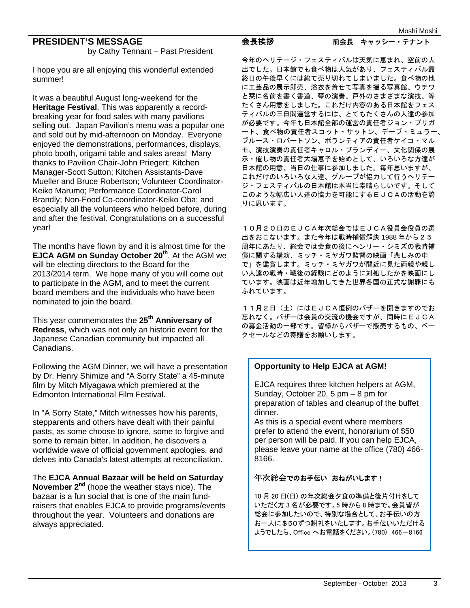# **PRESIDENT'S MESSAGE**

by Cathy Tennant – Past President

I hope you are all enjoying this wonderful extended summer!

It was a beautiful August long-weekend for the **Heritage Festival**. This was apparently a recordbreaking year for food sales with many pavilions selling out. Japan Pavilion's menu was a popular one and sold out by mid-afternoon on Monday. Everyone enjoyed the demonstrations, performances, displays, photo booth, origami table and sales areas! Many thanks to Pavilion Chair-John Priegert; Kitchen Manager-Scott Sutton; Kitchen Assistants-Dave Mueller and Bruce Robertson; Volunteer Coordinator-Keiko Marumo; Performance Coordinator-Carol Brandly; Non-Food Co-coordinator-Keiko Oba; and especially all the volunteers who helped before, during and after the festival. Congratulations on a successful year!

The months have flown by and it is almost time for the **EJCA AGM on Sunday October 20<sup>th</sup>.** At the AGM we will be electing directors to the Board for the 2013/2014 term. We hope many of you will come out to participate in the AGM, and to meet the current board members and the individuals who have been nominated to join the board.

This year commemorates the **25th Anniversary of Redress**, which was not only an historic event for the Japanese Canadian community but impacted all Canadians.

Following the AGM Dinner, we will have a presentation by Dr. Henry Shimize and "A Sorry State" a 45-minute film by Mitch Miyagawa which premiered at the Edmonton International Film Festival.

In "A Sorry State," Mitch witnesses how his parents, stepparents and others have dealt with their painful pasts, as some choose to ignore, some to forgive and some to remain bitter. In addition, he discovers a worldwide wave of official government apologies, and delves into Canada's latest attempts at reconciliation.

The **EJCA Annual Bazaar will be held on Saturday November 2nd** (hope the weather stays nice). The bazaar is a fun social that is one of the main fundraisers that enables EJCA to provide programs/events throughout the year. Volunteers and donations are always appreciated.

# 会長挨拶前会長 キャッシー・テナント

今年のヘリテージ・フェスティバルは天気に恵まれ、空前の人 出でした。日本館でも食べ物は人気があり、フェスティバル最 終日の午後早くには総て売り切れてしまいました。食べ物の他 に工芸品の展示即売、浴衣を着せて写真を撮る写真館、ウチワ と栞に名前を書く書道、琴の演奏、戸外のさまざまな演技、等 たくさん用意をしました。これだけ内容のある日本館をフェス ティバルの三日間運営するには、とてもたくさんの人達の参加 が必要です。今年も日本館全部の運営の責任者ジョン・プリガ ート、食べ物の責任者スコット・サットン、デーブ・ミュラー、 ブルース・ロバートソン、ボランティアの責任者ケイコ・マル モ、演技演奏の責任者キャロル・ブランディー、文化関係の展 示・催し物の責任者大場恵子を始めとして、いろいろな方達が 日本館の用意、当日の仕事に参加しました。毎年思いますが、 これだけのいろいろな人達、グループが協力して行うヘリテー ジ・フェスティバルの日本館は本当に素晴らしいです。そして このような幅広い人達の協力を可能にするEJCAの活動を誇 りに思います。

10月20日のEJCA年次総会ではEJCA役員会役員の選 出をおこないます。また今年は戦時補償解決 1988 年から25 周年にあたり、総会では会食の後にヘンリー・シミズの戦時補 償に関する講演、ミッチ・ミヤガワ監督の映画「悲しみの中 で」を鑑賞します。ミッチ・ミヤガワが間近に見た両親や親し い人達の戦時・戦後の経験にどのように対処したかを映画にし ています。映画は近年増加してきた世界各国の正式な謝罪にも ふれています。

11月2日(土)にはEJCA恒例のバザーを開きますのでお 忘れなく。バザーは会員の交流の機会ですが、同時にEJCA の募金活動の一部です。皆様からバザーで販売するもの、ベー クセールなどの寄贈をお願いします。

#### **Opportunity to Help EJCA at AGM!**

EJCA requires three kitchen helpers at AGM, Sunday, October 20, 5 pm – 8 pm for preparation of tables and cleanup of the buffet dinner.

As this is a special event where members prefer to attend the event, honorarium of \$50 per person will be paid. If you can help EJCA, please leave your name at the office (780) 466- 8166.

## 年次総会でのお手伝い おねがいします!

10 月 20 日(日) の年次総会夕食の準備と後片付けをして いただく方 3 名が必要です。5 時から 8 時まで。会員皆が 総会に参加したいので、特別な場合として、お手伝いの方 お一人に\$50ずつ謝礼をいたします。お手伝いいただける ようでしたら、Office へお電話をください。(780) 466-8166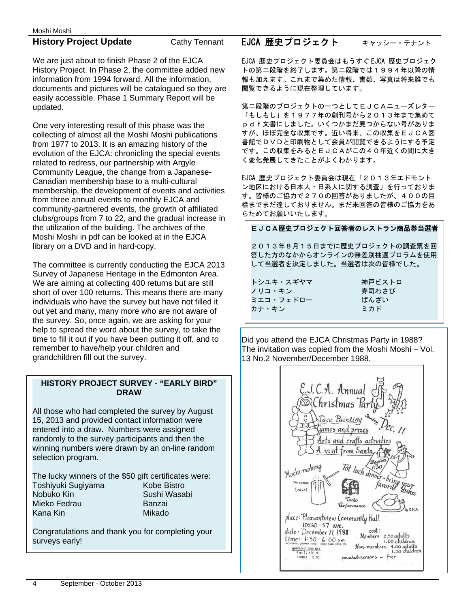# **History Project Update** Cathy Tennant

We are just about to finish Phase 2 of the EJCA History Project. In Phase 2, the committee added new information from 1994 forward. All the information, documents and pictures will be catalogued so they are easily accessible. Phase 1 Summary Report will be updated.

One very interesting result of this phase was the collecting of almost all the Moshi Moshi publications from 1977 to 2013. It is an amazing history of the evolution of the EJCA: chronicling the special events related to redress, our partnership with Argyle Community League, the change from a Japanese-Canadian membership base to a multi-cultural membership, the development of events and activities from three annual events to monthly EJCA and community-partnered events, the growth of affiliated clubs/groups from 7 to 22, and the gradual increase in the utilization of the building. The archives of the Moshi Moshi in pdf can be looked at in the EJCA library on a DVD and in hard-copy.

The committee is currently conducting the EJCA 2013 Survey of Japanese Heritage in the Edmonton Area. We are aiming at collecting 400 returns but are still short of over 100 returns. This means there are many individuals who have the survey but have not filled it out yet and many, many more who are not aware of the survey. So, once again, we are asking for your help to spread the word about the survey, to take the time to fill it out if you have been putting it off, and to remember to have/help your children and grandchildren fill out the survey.

## **HISTORY PROJECT SURVEY - "EARLY BIRD" DRAW**

All those who had completed the survey by August 15, 2013 and provided contact information were entered into a draw. Numbers were assigned randomly to the survey participants and then the winning numbers were drawn by an on-line random selection program.

The lucky winners of the \$50 gift certificates were: Toshiyuki Sugiyama Kobe Bistro Nobuko Kin Sushi Wasabi Mieko Fedrau **Banzai** Kana Kin Mikado

Congratulations and thank you for completing your surveys early!

# EJCA 歴史プロジェクト キャッシー・テナント

EJCA 歴史プロジェクト委員会はもうすぐ EJCA 歴史プロジェク トの第二段階を終了します。第二段階では1994年以降の情 報も加えます。これまで集めた情報、書類、写真は将来誰でも 閲覧できるように現在整理しています。

第二段階のプロジェクトの一つとしてEJCAニューズレター 「もしもし」を1977年の創刊号から2013年まで集めて pdf文書にしました。いくつかまだ見つからない号がありま すが、ほぼ完全な収集です。近い将来、この収集をEJCA図 書館でDVDと印刷物として会員が閲覧できるようにする予定 です。この収集をみるとEJCAがこの40年近くの間に大き く変化発展してきたことがよくわかります。

EJCA 歴史プロジェクト委員会は現在「2013年エドモント ン地区における日本人・日系人に関する調査」を行っておりま す。皆様のご協力で270の回答がありましたが、400の目 標までまだ達しておりません。まだ未回答の皆様のご協力をあ らためてお願いいたします。

#### EJCA歴史プロジェクト回答者のレストラン商品券当選者

2013年8月15日までに歴史プロジェクトの調査票を回 答した方のなかからオンラインの無差別抽選プロラムを使用 して当選者を決定しました。当選者は次の皆様でした。

- トシユキ・スギヤマ 神戸ビストロ ノリコ・キン アンチャン 寿司わさび ミエコ・フェドロー ばんざい カナ・キン ミカド
- Did you attend the EJCA Christmas Party in 1988? The invitation was copied from the Moshi Moshi – Vol.

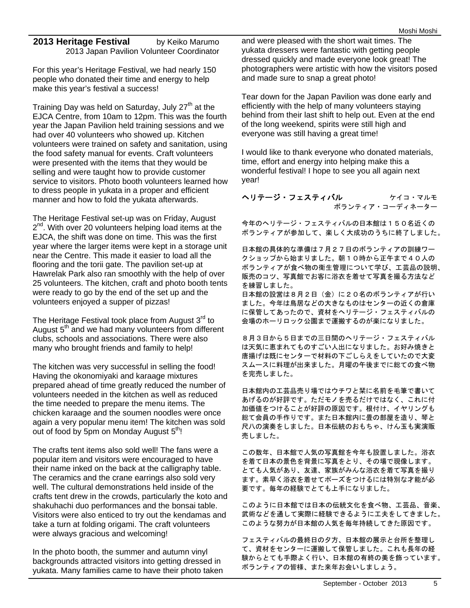## **2013 Heritage Festival** by Keiko Marumo 2013 Japan Pavilion Volunteer Coordinator

For this year's Heritage Festival, we had nearly 150 people who donated their time and energy to help make this year's festival a success!

Training Day was held on Saturday, July  $27<sup>th</sup>$  at the EJCA Centre, from 10am to 12pm. This was the fourth year the Japan Pavilion held training sessions and we had over 40 volunteers who showed up. Kitchen volunteers were trained on safety and sanitation, using the food safety manual for events. Craft volunteers were presented with the items that they would be selling and were taught how to provide customer service to visitors. Photo booth volunteers learned how to dress people in yukata in a proper and efficient manner and how to fold the yukata afterwards.

The Heritage Festival set-up was on Friday, August  $2<sup>nd</sup>$ . With over 20 volunteers helping load items at the EJCA, the shift was done on time. This was the first year where the larger items were kept in a storage unit near the Centre. This made it easier to load all the flooring and the torii gate. The pavilion set-up at Hawrelak Park also ran smoothly with the help of over 25 volunteers. The kitchen, craft and photo booth tents were ready to go by the end of the set up and the volunteers enjoyed a supper of pizzas!

The Heritage Festival took place from August  $3<sup>rd</sup>$  to August  $5<sup>th</sup>$  and we had many volunteers from different clubs, schools and associations. There were also many who brought friends and family to help!

The kitchen was very successful in selling the food! Having the okonomiyaki and karaage mixtures prepared ahead of time greatly reduced the number of volunteers needed in the kitchen as well as reduced the time needed to prepare the menu items. The chicken karaage and the soumen noodles were once again a very popular menu item! The kitchen was sold out of food by 5pm on Monday August  $5<sup>th</sup>$ !

The crafts tent items also sold well! The fans were a popular item and visitors were encouraged to have their name inked on the back at the calligraphy table. The ceramics and the crane earrings also sold very well. The cultural demonstrations held inside of the crafts tent drew in the crowds, particularly the koto and shakuhachi duo performances and the bonsai table. Visitors were also enticed to try out the kendamas and take a turn at folding origami. The craft volunteers were always gracious and welcoming!

In the photo booth, the summer and autumn vinyl backgrounds attracted visitors into getting dressed in yukata. Many families came to have their photo taken and were pleased with the short wait times. The yukata dressers were fantastic with getting people dressed quickly and made everyone look great! The photographers were artistic with how the visitors posed and made sure to snap a great photo!

Tear down for the Japan Pavilion was done early and efficiently with the help of many volunteers staying behind from their last shift to help out. Even at the end of the long weekend, spirits were still high and everyone was still having a great time!

I would like to thank everyone who donated materials, time, effort and energy into helping make this a wonderful festival! I hope to see you all again next year!

ヘリテージ・フェスティバル ケイコ・マルモ ボランティア・コーディネーター

今年のヘリテージ・フェスティバルの日本館は150名近くの ボランティアが参加して、楽しく大成功のうちに終了しました。

日本館の具体的な準備は7月27日のボランティアの訓練ワー クショップから始まりました。朝10時から正午まで40人の ボランティアが食べ物の衛生管理について学び、工芸品の説明、 販売のコツ、写真館でお客に浴衣を着せて写真を撮る方法など を練習しました。

日本館の設営は8月2日(金)に20名のボランティアが行い ました。今年は鳥居などの大きなものはセンターの近くの倉庫 に保管してあったので、資材をヘリテージ・フェスティバルの 会場のホーリロック公園まで運搬するのが楽になりました。

8月3日から5日までの三日間のヘリテージ・フェスティバル は天気に恵まれてものすごい人出になりました。お好み焼きと 唐揚げは既にセンターで材料の下ごしらえをしていたので大変 スムースに料理が出来ました。月曜の午後までに総ての食べ物 を完売しました。

日本館内の工芸品売り場ではウチワと栞に名前を毛筆で書いて あげるのが好評です。ただモノを売るだけではなく、これに付 加価値をつけることが好評の原因です。根付け、イヤリングも 総て会員の手作りです。また日本館内に畳の部屋を造り、琴と 尺八の演奏をしました。日本伝統のおもちゃ、けん玉も実演販 売しました。

この数年、日本館で人気の写真館を今年も設置しました。浴衣 を着て日本の景色を背景に写真をとり、その場で現像します。 とても人気があり、友達、家族がみんな浴衣を着て写真を撮り ます。素早く浴衣を着せてポーズをつけるには特別な才能が必 要です。毎年の経験でとても上手になりました。

このように日本館では日本の伝統文化を食べ物、工芸品、音楽、 武術などを通して実際に経験できるように工夫をしてきました。 このような努力が日本館の人気を毎年持続してきた原因です。

フェスティバルの最終日の夕方、日本館の展示と台所を整理し て、資材をセンターに運搬して保管しました。これも長年の経 験からとても手際よく行い、日本館の有終の美を飾っています。 ボランティアの皆様、また来年お会いしましょう。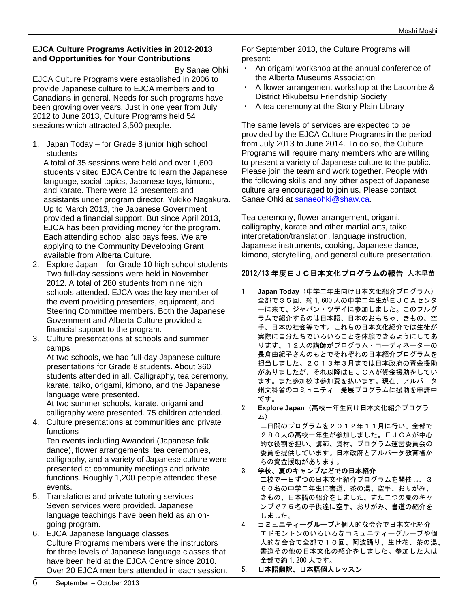# **EJCA Culture Programs Activities in 2012-2013 and Opportunities for Your Contributions**

By Sanae Ohki

EJCA Culture Programs were established in 2006 to provide Japanese culture to EJCA members and to Canadians in general. Needs for such programs have been growing over years. Just in one year from July 2012 to June 2013, Culture Programs held 54 sessions which attracted 3,500 people.

1. Japan Today – for Grade 8 junior high school students

A total of 35 sessions were held and over 1,600 students visited EJCA Centre to learn the Japanese language, social topics, Japanese toys, kimono, and karate. There were 12 presenters and assistants under program director, Yukiko Nagakura. Up to March 2013, the Japanese Government provided a financial support. But since April 2013, EJCA has been providing money for the program. Each attending school also pays fees. We are applying to the Community Developing Grant available from Alberta Culture.

- 2. Explore Japan for Grade 10 high school students Two full-day sessions were held in November 2012. A total of 280 students from nine high schools attended. EJCA was the key member of the event providing presenters, equipment, and Steering Committee members. Both the Japanese Government and Alberta Culture provided a financial support to the program.
- 3. Culture presentations at schools and summer camps

At two schools, we had full-day Japanese culture presentations for Grade 8 students. About 360 students attended in all. Calligraphy, tea ceremony, karate, taiko, origami, kimono, and the Japanese language were presented.

At two summer schools, karate, origami and calligraphy were presented. 75 children attended.

4. Culture presentations at communities and private functions

Ten events including Awaodori (Japanese folk dance), flower arrangements, tea ceremonies, calligraphy, and a variety of Japanese culture were presented at community meetings and private functions. Roughly 1,200 people attended these events.

- 5. Translations and private tutoring services Seven services were provided. Japanese language teachings have been held as an ongoing program.
- 6. EJCA Japanese language classes Culture Programs members were the instructors for three levels of Japanese language classes that have been held at the EJCA Centre since 2010. Over 20 EJCA members attended in each session.

For September 2013, the Culture Programs will present:

- An origami workshop at the annual conference of the Alberta Museums Association
- A flower arrangement workshop at the Lacombe & District Rikubetsu Friendship Society
- A tea ceremony at the Stony Plain Library

The same levels of services are expected to be provided by the EJCA Culture Programs in the period from July 2013 to June 2014. To do so, the Culture Programs will require many members who are willing to present a variety of Japanese culture to the public. Please join the team and work together. People with the following skills and any other aspect of Japanese culture are encouraged to join us. Please contact Sanae Ohki at sanaeohki@shaw.ca.

Tea ceremony, flower arrangement, origami, calligraphy, karate and other martial arts, taiko, interpretation/translation, language instruction, Japanese instruments, cooking, Japanese dance, kimono, storytelling, and general culture presentation.

# 2012/13 年度EJC日本文化プログラムの報告 大木早苗

- 1. **Japan Today**(中学二年生向け日本文化紹介プログラム) 全部で35回、約 1,600 人の中学二年生がEJCAセンタ ーに来て、ジャパン・ツデイに参加しました。このプルグ ラムで紹介するのは日本語、日本のおもちゃ、きもの、空 手、日本の社会等です。これらの日本文化紹介では生徒が 実際に自分たちでいろいろことを体験できるようにしてあ ります。12人の講師がプログラム・コーディネーターの 長倉由紀子さんのもとでそれぞれの日本紹介プログラムを 担当しました。2013年3月までは日本政府の資金援助 がありましたが、それ以降はEJCAが資金援助をしてい ます。また参加校は参加費を払います。現在、アルバータ 州文科省のコミュニティー発展プログラムに援助を申請中 です。
- 2. **Explore Japan**(高校一年生向け日本文化紹介プログラ ム)

二日間のプログラムを2012年11月に行い、全部で 280人の高校一年生が参加しました。EJCAが中心 的な役割を担い、講師、資材、プログラム運営委員会の 委員を提供しています。日本政府とアルバータ教育省か らの資金援助があります。

3. 学校、夏のキャンプなどでの日本紹介

二校で一日ずつの日本文化紹介プログラムを開催し、3 60名の中学二年生に書道、茶の湯、空手、おりがみ、 きもの、日本語の紹介をしました。また二つの夏のキャ ンプで75名の子供達に空手、おりがみ、書道の紹介を しました。

- 4. コミュニティーグループと個人的な会合で日本文化紹介 エドモントンのいろいろなコミュニティーグループや個 人的な会合で全部で10回、阿波踊り、生け花、茶の湯、 書道その他の日本文化の紹介をしました。参加した人は 全部で約 1,200 人です。
- 5. 日本語翻訳、日本語個人レッスン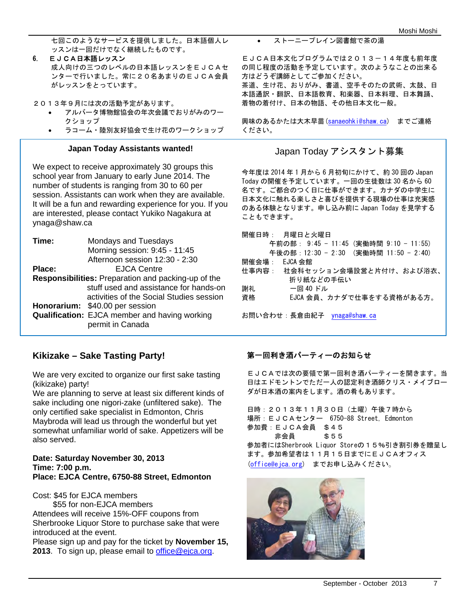七回このようなサービスを提供しました。日本語個人レ ッスンは一回だけでなく継続したものです。

- 6. EJCA日本語レッスン 成人向けの三つのレベルの日本語レッスンをEJCAセ ンターで行いました。常に20名あまりのEJCA会員 がレッスンをとっています。
- 2013年9月には次の活動予定があります。
	- アルバータ博物館協会の年次会議でおりがみのワー クショップ
	- ラコーム・陸別友好協会で生け花のワークショップ

#### **Japan Today Assistants wanted!**

We expect to receive approximately 30 groups this school year from January to early June 2014. The number of students is ranging from 30 to 60 per session. Assistants can work when they are available. It will be a fun and rewarding experience for you. If you are interested, please contact Yukiko Nagakura at ynaga@shaw.ca

| Time:                                               | Mondays and Tuesdays                                 |  |  |  |
|-----------------------------------------------------|------------------------------------------------------|--|--|--|
|                                                     | Morning session: 9:45 - 11:45                        |  |  |  |
|                                                     | Afternoon session 12:30 - 2:30                       |  |  |  |
| Place:                                              | <b>EJCA Centre</b>                                   |  |  |  |
| Responsibilities: Preparation and packing-up of the |                                                      |  |  |  |
|                                                     | stuff used and assistance for hands-on               |  |  |  |
|                                                     | activities of the Social Studies session             |  |  |  |
|                                                     | Honorarium: \$40.00 per session                      |  |  |  |
|                                                     | <b>Qualification:</b> EJCA member and having working |  |  |  |
|                                                     | permit in Canada                                     |  |  |  |

## **Kikizake – Sake Tasting Party!**

We are very excited to organize our first sake tasting (kikizake) party!

We are planning to serve at least six different kinds of sake including one nigori-zake (unfiltered sake). The only certified sake specialist in Edmonton, Chris Maybroda will lead us through the wonderful but yet somewhat unfamiliar world of sake. Appetizers will be also served.

## **Date: Saturday November 30, 2013 Time: 7:00 p.m. Place: EJCA Centre, 6750-88 Street, Edmonton**

Cost: \$45 for EJCA members \$55 for non-EJCA members Attendees will receive 15%-OFF coupons from Sherbrooke Liquor Store to purchase sake that were introduced at the event. Please sign up and pay for the ticket by **November 15,** 

**2013**. To sign up, please email to office@ejca.org.

ストーニープレイン図書館で茶の湯

EJCA日本文化プログラムでは2013-14年度も前年度 の同じ程度の活動を予定しています。次のようなことの出来る 方はどうぞ講師としてご参加ください。

茶道、生け花、おりがみ、書道、空手そのたの武術、太鼓、日 本語通訳・翻訳、日本語教育、和楽器、日本料理、日本舞踊、 着物の着付け、日本の物語、その他日本文化一般。

興味のあるかたは大木早苗(sanaeohki@shaw.ca) までご連絡 ください。

## Japan Today アシスタント募集

今年度は 2014 年 1 月から 6 月初旬にかけて、約 30 回の Japan Today の開催を予定しています。一回の生徒数は 30 名から 60 名です。ご都合のつく日に仕事ができます。カナダの中学生に 日本文化に触れる楽しさと喜びを提供する現場の仕事は充実感 のある体験となります。申し込み前に Japan Today を見学する こともできます。

開催日時: 月曜日と火曜日

- 午前の部: 9:45 11:45 (実働時間 9:10 11:55)
- 午後の部:12:30 2:30 (実働時間 11:50 2:40)

# 開催会場: EJCA 会館

- 仕事内容: 社会科セッション会場設営と片付け、および浴衣、 折り紙などの手伝い 謝礼 一回 40 ドル
- 資格 EJCA 会員、カナダで仕事をする資格がある方。

お問い合わせ:長倉由紀子 ynaga@shaw.ca

## 第一回利き酒パーティーのお知らせ

EJCAでは次の要領で第一回利き酒パーティーを開きます。当 日はエドモントンでただ一人の認定利き酒師クリス・メイブロー ダが日本酒の案内をします。酒の肴もあります。

日時:2013年11月30日(土曜)午後7時から 場所:EJCAセンター 6750-88 Street, Edmonton 参加費:EJCA会員 \$45 非会員 \$55 参加者にはSherbrook Liquor Storeの15%引き割引券を贈呈し ます。参加希望者は11月15日までにEJCAオフィス (office@ejca.org) までお申し込みください。

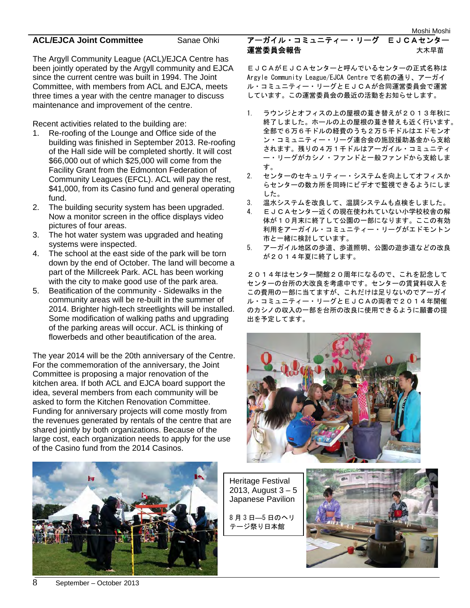## **ACL/EJCA Joint Committee** Sanae Ohki

The Argyll Community League (ACL)/EJCA Centre has been jointly operated by the Argyll community and EJCA since the current centre was built in 1994. The Joint Committee, with members from ACL and EJCA, meets three times a year with the centre manager to discuss maintenance and improvement of the centre.

Recent activities related to the building are:

- 1. Re-roofing of the Lounge and Office side of the building was finished in September 2013. Re-roofing of the Hall side will be completed shortly. It will cost \$66,000 out of which \$25,000 will come from the Facility Grant from the Edmonton Federation of Community Leagues (EFCL). ACL will pay the rest, \$41,000, from its Casino fund and general operating fund.
- 2. The building security system has been upgraded. Now a monitor screen in the office displays video pictures of four areas.
- 3. The hot water system was upgraded and heating systems were inspected.
- 4. The school at the east side of the park will be torn down by the end of October. The land will become a part of the Millcreek Park. ACL has been working with the city to make good use of the park area.
- 5. Beatification of the community Sidewalks in the community areas will be re-built in the summer of 2014. Brighter high-tech streetlights will be installed. Some modification of walking paths and upgrading of the parking areas will occur. ACL is thinking of flowerbeds and other beautification of the area.

The year 2014 will be the 20th anniversary of the Centre. For the commemoration of the anniversary, the Joint Committee is proposing a major renovation of the kitchen area. If both ACL and EJCA board support the idea, several members from each community will be asked to form the Kitchen Renovation Committee. Funding for anniversary projects will come mostly from the revenues generated by rentals of the centre that are shared jointly by both organizations. Because of the large cost, each organization needs to apply for the use of the Casino fund from the 2014 Casinos.

# アーガイル・コミュニティー・リーグ EJCAセンター 運営委員会報告 大木早苗

EJCAがEJCAセンターと呼んでいるセンターの正式名称は Argyle Community League/EJCA Centre で名前の通り、アーガイ ル・コミュニティー・リーグとEJCAが合同運営委員会で運営 しています。この運営委員会の最近の活動をお知らせします。

- 1. ラウンジとオフィスの上の屋根の葺き替えが2013年秋に 終了しました。ホールの上の屋根の葺き替えも近く行います。 全部で6万6千ドルの経費のうち2万5千ドルはエドモンオ ン・コミュニティー・リーグ連合会の施設援助基金から支給 されます。残りの4万1千ドルはアーガイル・コミュニティ ー・リーグがカシノ・ファンドと一般ファンドから支給しま す。
- 2. センターのセキュリティー・システムを向上してオフィスか らセンターの数カ所を同時にビデオで監視できるようにしま した。
- 3. 温水システムを改良して、温調システムも点検をしました。
- 4. EJCAセンター近くの現在使われていない小学校校舎の解 体が10月末に終了して公園の一部になります。ここの有効 利用をアーガイル・コミュニティー・リーグがエドモントン 市と一緒に検討しています。
- 5. アーガイル地区の歩道、歩道照明、公園の遊歩道などの改良 が2014年夏に終了します。

2014年はセンター開館20周年になるので、これを記念して センターの台所の大改良を考慮中です。センターの賃貸料収入を この費用の一部に当てますが、これだけは足りないのでアーガイ ル・コミュニティー・リーグとEJCAの両者で2014年開催 のカシノの収入の一部を台所の改良に使用できるように願書の提 出を予定してます。





Heritage Festival 2013, August  $3 - 5$ Japanese Pavilion

8 月 3 日―5 日のヘリ テージ祭り日本館

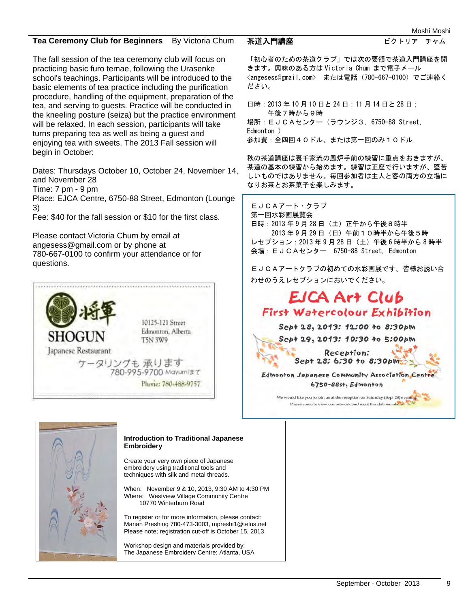#### **Tea Ceremony Club for Beginners** By Victoria Chum 茶道入門講座 さんじょう ビクトリア チャム

The fall session of the tea ceremony club will focus on practicing basic furo temae, following the Urasenke school's teachings. Participants will be introduced to the basic elements of tea practice including the purification procedure, handling of the equipment, preparation of the tea, and serving to guests. Practice will be conducted in the kneeling posture (seiza) but the practice environment will be relaxed. In each session, participants will take turns preparing tea as well as being a guest and enjoying tea with sweets. The 2013 Fall session will begin in October:

Dates: Thursdays October 10, October 24, November 14, and November 28 Time: 7 pm - 9 pm Place: EJCA Centre, 6750-88 Street, Edmonton (Lounge 3)

Fee: \$40 for the fall session or \$10 for the first class.

Please contact Victoria Chum by email at angesess@gmail.com or by phone at 780-667-0100 to confirm your attendance or for questions.



「初心者のための茶道クラブ」では次の要領で茶道入門講座を開 きます。興味のある方は Victoria Chum まで電子メール <angesess@gmail.com> または電話(780-667-0100)でご連絡く ださい。

日時: 2013年10月10日と24日;11月14日と28日; 午後7時から9時 場所:EJCAセンター(ラウンジ3,6750-88 Street, Edmonton ) 参加費:全四回40ドル、または第一回のみ10ドル

秋の茶道講座は裏千家流の風炉手前の練習に重点をおきますが、 茶道の基本の練習から始めます。練習は正座で行いますが、堅苦 しいものではありません。毎回参加者は主人と客の両方の立場に なりお茶とお茶菓子を楽しみます。

EJCAアート・クラブ 第一回水彩画展覧会 日時: 2013年9月28日 (土)正午から午後8時半 2013 年 9 月 29 日(日)午前10時半から午後5時 レセプション:2013 年 9 月 28 日(土)午後 6 時半から 8 時半 会場:EJCAセンター 6750-88 Street, Edmonton

EJCAアートクラブの初めての水彩画展です。皆様お誘い合 わせのうえレセプションにおいでください。

# **EJCA Art Club** First Watercolour Exhibition

Sept 28, 2013: 12:00 to 8:30pm

Sept 29, 2013: 10:30 to 5:00pm

Reception: Sept 28: 6:30 to 8:30 bM

Edmonton Japanese Community Association Centre 6750-88st, Edmonton

We would like you to join us at the reception on Saturday (Sept 28) evening. Please come to view our artwork and meet the club members.



#### **Introduction to Traditional Japanese Embroidery**

Create your very own piece of Japanese embroidery using traditional tools and techniques with silk and metal threads.

When: November 9 & 10, 2013, 9:30 AM to 4:30 PM Where: Westview Village Community Centre 10770 Winterburn Road

To register or for more information, please contact: Marian Preshing 780-473-3003, mpreshi1@telus.net Please note; registration cut-off is October 15, 2013

Workshop design and materials provided by: The Japanese Embroidery Centre; Atlanta, USA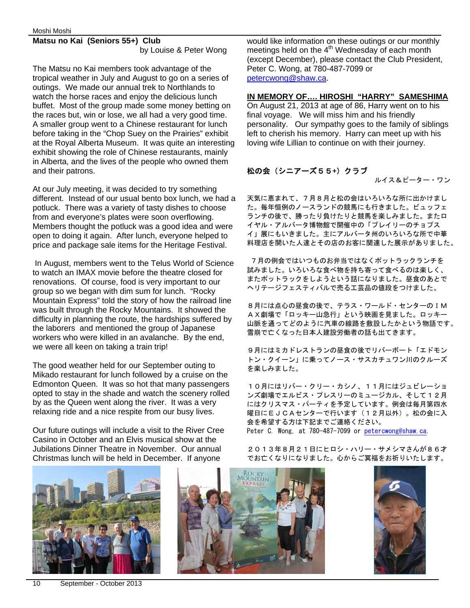## **Matsu no Kai (Seniors 55+) Club**

by Louise & Peter Wong

The Matsu no Kai members took advantage of the tropical weather in July and August to go on a series of outings. We made our annual trek to Northlands to watch the horse races and enjoy the delicious lunch buffet. Most of the group made some money betting on the races but, win or lose, we all had a very good time. A smaller group went to a Chinese restaurant for lunch before taking in the "Chop Suey on the Prairies" exhibit at the Royal Alberta Museum. It was quite an interesting exhibit showing the role of Chinese restaurants, mainly in Alberta, and the lives of the people who owned them and their patrons.

At our July meeting, it was decided to try something different. Instead of our usual bento box lunch, we had a potluck. There was a variety of tasty dishes to choose from and everyone's plates were soon overflowing. Members thought the potluck was a good idea and were open to doing it again. After lunch, everyone helped to price and package sale items for the Heritage Festival.

 In August, members went to the Telus World of Science to watch an IMAX movie before the theatre closed for renovations. Of course, food is very important to our group so we began with dim sum for lunch. "Rocky Mountain Express" told the story of how the railroad line was built through the Rocky Mountains. It showed the difficulty in planning the route, the hardships suffered by the laborers and mentioned the group of Japanese workers who were killed in an avalanche. By the end, we were all keen on taking a train trip!

The good weather held for our September outing to Mikado restaurant for lunch followed by a cruise on the Edmonton Queen. It was so hot that many passengers opted to stay in the shade and watch the scenery rolled by as the Queen went along the river. It was a very relaxing ride and a nice respite from our busy lives.

Our future outings will include a visit to the River Cree Casino in October and an Elvis musical show at the Jubilations Dinner Theatre in November. Our annual Christmas lunch will be held in December. If anyone

would like information on these outings or our monthly meetings held on the  $4<sup>th</sup>$  Wednesday of each month (except December), please contact the Club President, Peter C. Wong, at 780-487-7099 or petercwong@shaw.ca.

# **IN MEMORY OF…. HIROSHI "HARRY" SAMESHIMA**

On August 21, 2013 at age of 86, Harry went on to his final voyage. We will miss him and his friendly personality. Our sympathy goes to the family of siblings left to cherish his memory. Harry can meet up with his loving wife Lillian to continue on with their journey.

# 松の会(シニアーズ55+)クラブ

ルイス&ピーター・ワン

天気に恵まれて、7月8月と松の会はいろいろな所に出かけまし た。毎年恒例のノースランドの競馬にも行きました。ビュッフェ ランチの後で、勝ったり負けたりと競馬を楽しみました。またロ イヤル・アルバータ博物館で開催中の「プレイリーのチョプス イ」展にもいきました。主にアルバータ州のいろいろな所で中華 料理店を開いた人達とその店のお客に関連した展示がありました。

 7月の例会ではいつものお弁当ではなくポットラックランチを 試みました。いろいろな食べ物を持ち寄って食べるのは楽しく、 またポットラックをしようという話になりました。昼食のあとで ヘリテージフェスティバルで売る工芸品の値段をつけました。

8月には点心の昼食の後で、テラス・ワールド・センターのIM AX劇場で「ロッキー山急行」という映画を見ました。ロッキー 山脈を通ってどのように汽車の線路を敷設したかという物語です。 雪崩で亡くなった日本人建設労働者の話も出てきます。

9月にはミカドレストランの昼食の後でリバーボート「エドモン トン・クイーン」に乗ってノース・サスカチュワン川のクルーズ を楽しみました。

10月にはリバー・クリー・カシノ、11月にはジュビレーショ ンズ劇場でエルビス・プレスリーのミュージカル、そして12月 にはクリスマス・パーティを予定しています。例会は毎月第四水 曜日にEJCAセンターで行います(12月以外)。松の会に入 会を希望する方は下記までご連絡ください。 Peter C. Wong, at 780-487-7099 or petercwong@shaw.ca.

2013年8月21日にヒロシ・ハリー・サメシマさんが86才 でお亡くなりになりました。心からご冥福をお祈りいたします。





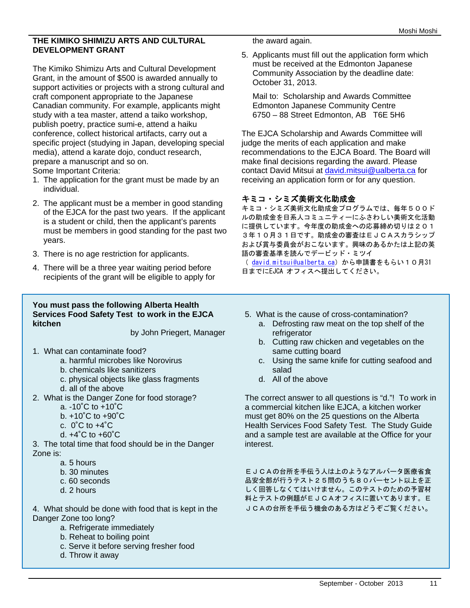#### **THE KIMIKO SHIMIZU ARTS AND CULTURAL DEVELOPMENT GRANT**

The Kimiko Shimizu Arts and Cultural Development Grant, in the amount of \$500 is awarded annually to support activities or projects with a strong cultural and craft component appropriate to the Japanese Canadian community. For example, applicants might study with a tea master, attend a taiko workshop, publish poetry, practice sumi-e, attend a haiku conference, collect historical artifacts, carry out a specific project (studying in Japan, developing special media), attend a karate dojo, conduct research, prepare a manuscript and so on. Some Important Criteria:

1. The application for the grant must be made by an individual.

- 2. The applicant must be a member in good standing of the EJCA for the past two years. If the applicant is a student or child, then the applicant's parents must be members in good standing for the past two years.
- 3. There is no age restriction for applicants.
- 4. There will be a three year waiting period before recipients of the grant will be eligible to apply for

#### **You must pass the following Alberta Health Services Food Safety Test to work in the EJCA kitchen**

by John Priegert, Manager

- 1. What can contaminate food?
	- a. harmful microbes like Norovirus
	- b. chemicals like sanitizers
	- c. physical objects like glass fragments
	- d. all of the above
- 2. What is the Danger Zone for food storage?
	- a. -10˚C to +10˚C
	- b.  $+10^{\circ}$ C to  $+90^{\circ}$ C
	- c.  $0^\circ \text{C}$  to  $+4^\circ \text{C}$
	- d. +4˚C to +60˚C
- 3. The total time that food should be in the Danger Zone is:
	- a. 5 hours
	- b. 30 minutes
	- c. 60 seconds
	- d. 2 hours

4. What should be done with food that is kept in the Danger Zone too long?

- a. Refrigerate immediately
- b. Reheat to boiling point
- c. Serve it before serving fresher food
- d. Throw it away

the award again.

5. Applicants must fill out the application form which must be received at the Edmonton Japanese Community Association by the deadline date: October 31, 2013.

 Mail to: Scholarship and Awards Committee Edmonton Japanese Community Centre 6750 – 88 Street Edmonton, AB T6E 5H6

The EJCA Scholarship and Awards Committee will judge the merits of each application and make recommendations to the EJCA Board. The Board will make final decisions regarding the award. Please contact David Mitsui at david.mitsui@ualberta.ca for receiving an application form or for any question.

# キミコ・シミズ美術文化助成金

キミコ・シミズ美術文化助成金プログラムでは、毎年500ド ルの助成金を日系人コミュニティーにふさわしい美術文化活動 に提供しています。今年度の助成金への応募締め切りは201 3年10月31日です。助成金の審査はEJCAスカラシップ および賞与委員会がおこないます。興味のあるかたは上記の英 語の審査基準を読んでデービッド・ミツイ

( david. mitsui@ualberta.ca)から申請書をもらい10月31 日までにEJCA オフィスへ提出してください。

- 5. What is the cause of cross-contamination?
	- a. Defrosting raw meat on the top shelf of the refrigerator
	- b. Cutting raw chicken and vegetables on the same cutting board
	- c. Using the same knife for cutting seafood and salad
	- d. All of the above

The correct answer to all questions is "d."! To work in a commercial kitchen like EJCA, a kitchen worker must get 80% on the 25 questions on the Alberta Health Services Food Safety Test. The Study Guide and a sample test are available at the Office for your interest.

EJCAの台所を手伝う人は上のようなアルバータ医療省食 品安全部が行うテスト25問のうち80パーセント以上を正 しく回答しなくてはいけません。このテストのための予習材 料とテストの例題がEJCAオフィスに置いてあります。E JCAの台所を手伝う機会のある方はどうぞご覧ください。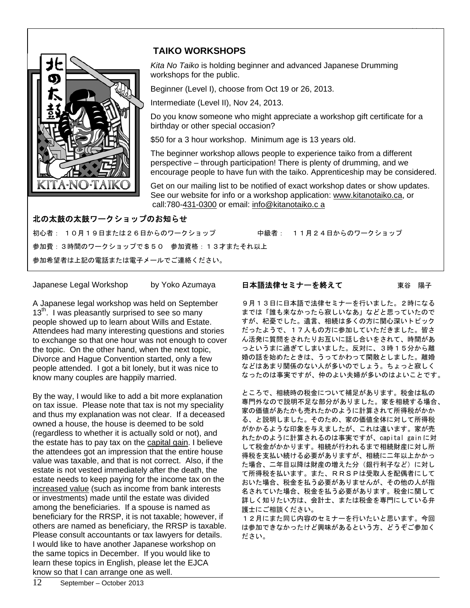

# **TAIKO WORKSHOPS**

*Kita No Taiko* is holding beginner and advanced Japanese Drumming workshops for the public.

Beginner (Level I), choose from Oct 19 or 26, 2013.

Intermediate (Level II), Nov 24, 2013.

Do you know someone who might appreciate a workshop gift certificate for a birthday or other special occasion?

\$50 for a 3 hour workshop. Minimum age is 13 years old.

The beginner workshop allows people to experience taiko from a different perspective – through participation! There is plenty of drumming, and we encourage people to have fun with the taiko. Apprenticeship may be considered.

Get on our mailing list to be notified of exact workshop dates or show updates. See our website for info or a workshop application: www.kitanotaiko.ca, or call:780-431-0300 or email: info@kitanotaiko.c a

# 北の太鼓の太鼓ワークショップのお知らせ

初心者: 10月19日または26日からのワークショップ 中級者: 11月24日からのワークショップ

参加費:3時間のワークショップで\$50 参加資格:13才またそれ以上

参加希望者は上記の電話または電子メールでご連絡ください。

Japanese Legal Workshop by Yoko Azumaya

A Japanese legal workshop was held on September  $13<sup>th</sup>$ . I was pleasantly surprised to see so many people showed up to learn about Wills and Estate. Attendees had many interesting questions and stories to exchange so that one hour was not enough to cover the topic. On the other hand, when the next topic, Divorce and Hague Convention started, only a few people attended. I got a bit lonely, but it was nice to know many couples are happily married.

By the way, I would like to add a bit more explanation on tax issue. Please note that tax is not my speciality and thus my explanation was not clear. If a deceased owned a house, the house is deemed to be sold (regardless to whether it is actually sold or not), and the estate has to pay tax on the capital gain. I believe the attendees got an impression that the entire house value was taxable, and that is not correct. Also, if the estate is not vested immediately after the death, the estate needs to keep paying for the income tax on the increased value (such as income from bank interests or investments) made until the estate was divided among the beneficiaries. If a spouse is named as beneficiary for the RRSP, it is not taxable; however, if others are named as beneficiary, the RRSP is taxable. Please consult accountants or tax lawyers for details. I would like to have another Japanese workshop on the same topics in December. If you would like to learn these topics in English, please let the EJCA know so that I can arrange one as well.

# 日本語法律セミナーを終えて 東谷 陽子

Moshi Moshi

9月13日に日本語で法律セミナーを行いました。2時になる までは「誰も来なかったら寂しいなあ」などと思っていたので すが、杞憂でした。遺言、相続は多くの方に関心深いトピック だったようで、17人もの方に参加していただきました。皆さ ん活発に質問をされたりお互いに話し合いをされて、時間があ っというまに過ぎてしまいました。反対に、3時15分から離 婚の話を始めたときは、うってかわって閑散としました。離婚 などはあまり関係のない人が多いのでしょう。ちょっと寂しく なったのは事実ですが、仲のよい夫婦が多いのはよいことです。

ところで、相続時の税金について補足があります。税金は私の 専門外なので説明不足な部分がありました。家を相続する場合、 家の価値があたかも売れたかのように計算されて所得税がかか る、と説明しました。そのため、家の価値全体に対して所得税 がかかるような印象を与えましたが、これは違います。家が売 れたかのように計算されるのは事実ですが、capital gain に対 して税金がかかります。相続が行われるまで相続財産に対し所 得税を支払い続ける必要がありますが、相続に二年以上かかっ た場合、二年目以降は財産の増えた分(銀行利子など)に対し て所得税を払います。また、RRSPは受取人を配偶者にして おいた場合、税金を払う必要がありませんが、その他の人が指 名されていた場合、税金を払う必要があります。税金に関して 詳しく知りたい方は、会計士、または税金を専門にしている弁 護士にご相談ください。

12月にまた同じ内容のセミナーを行いたいと思います。今回 は参加できなかったけど興味があるという方、どうぞご参加く ださい。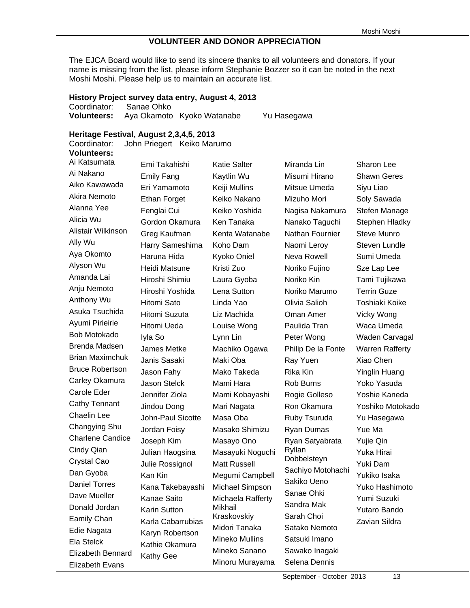# **VOLUNTEER AND DONOR APPRECIATION**

The EJCA Board would like to send its sincere thanks to all volunteers and donators. If your name is missing from the list, please inform Stephanie Bozzer so it can be noted in the next Moshi Moshi. Please help us to maintain an accurate list.

#### **History Project survey data entry, August 4, 2013**

Coordinator: Sanae Ohko

**Volunteers:** Aya Okamoto Kyoko Watanabe Yu Hasegawa

## **Heritage Festival, August 2,3,4,5, 2013**

**Volunteers:** Ai Katsumata Ai Nakano Aiko Kawawada Akira Nemoto Alanna Yee Alicia Wu Alistair Wilkinson Ally Wu Aya Okomto Alyson Wu Amanda Lai Anju Nemoto Anthony Wu Asuka Tsuchida Ayumi Pirieirie Bob Motokado Brenda Madsen Brian Maximchuk Bruce Robertson Carley Okamura Carole Eder Cathy Tennant Chaelin Lee Changying Shu Charlene Candice Cindy Qian Crystal Cao Dan Gyoba Daniel Torres Dave Mueller Donald Jordan Eamily Chan Edie Nagata Ela Stelck Elizabeth Bennard Elizabeth Evans

Coordinator: John Priegert Keiko Marumo Emi Takahishi Emily Fang Eri Yamamoto Ethan Forget Fenglai Cui Gordon Okamura Greg Kaufman Harry Sameshima Haruna Hida Heidi Matsune Hiroshi Shimiu Hiroshi Yoshida Hitomi Sato Hitomi Suzuta Hitomi Ueda Iyla So James Metke Janis Sasaki Jason Fahy Jason Stelck Jennifer Ziola Jindou Dong John-Paul Sicotte Jordan Foisy Joseph Kim Julian Haogsina Julie Rossignol Kan Kin Kana Takebayashi Kanae Saito Karin Sutton Karla Cabarrubias Karyn Robertson Kathie Okamura Kathy Gee

Katie Salter Kaytlin Wu Keiji Mullins Keiko Nakano Keiko Yoshida Ken Tanaka Kenta Watanabe Koho Dam Kyoko Oniel Kristi Zuo Laura Gyoba Lena Sutton Linda Yao Liz Machida Louise Wong Lynn Lin Machiko Ogawa Maki Oba Mako Takeda Mami Hara Mami Kobayashi Mari Nagata Masa Oba Masako Shimizu Masayo Ono Masayuki Noguchi Matt Russell Megumi Campbell Michael Simpson Michaela Rafferty Mikhail Kraskovskiy Midori Tanaka Mineko Mullins Mineko Sanano Minoru Murayama

Miranda Lin Misumi Hirano Mitsue Umeda Mizuho Mori Nagisa Nakamura Nanako Taguchi Nathan Fournier Naomi Leroy Neva Rowell Noriko Fujino Noriko Kin Noriko Marumo Olivia Salioh Oman Amer Paulida Tran Peter Wong Philip De la Fonte Ray Yuen Rika Kin Rob Burns Rogie Golleso Ron Okamura Ruby Tsuruda Ryan Dumas Ryan Satyabrata Ryllan Dobbelsteyn Sachiyo Motohachi Sakiko Ueno Sanae Ohki Sandra Mak Sarah Choi Satako Nemoto Satsuki Imano Sawako Inagaki Selena Dennis

Sharon Lee Shawn Geres Siyu Liao Soly Sawada Stefen Manage Stephen Hladky Steve Munro Steven Lundle Sumi Umeda Sze Lap Lee Tami Tujikawa Terrin Guze Toshiaki Koike Vicky Wong Waca Umeda Waden Carvagal Warren Rafferty Xiao Chen Yinglin Huang Yoko Yasuda Yoshie Kaneda Yoshiko Motokado Yu Hasegawa Yue Ma Yujie Qin Yuka Hirai Yuki Dam Yukiko Isaka Yuko Hashimoto Yumi Suzuki Yutaro Bando Zavian Sildra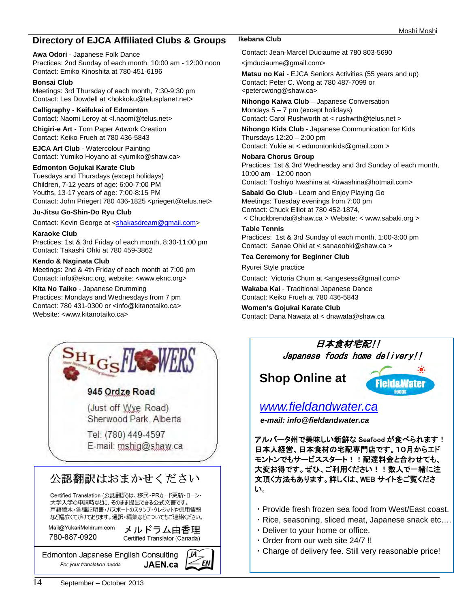# **Directory of EJCA Affiliated Clubs & Groups Ikebana Club**

**Awa Odori** - Japanese Folk Dance Practices: 2nd Sunday of each month, 10:00 am - 12:00 noon Contact: Emiko Kinoshita at 780-451-6196

#### **Bonsai Club**

Meetings: 3rd Thursday of each month, 7:30-9:30 pm Contact: Les Dowdell at <hokkoku@telusplanet.net>

**Calligraphy - Keifukai of Edmonton**  Contact: Naomi Leroy at <l.naomi@telus.net>

**Chigiri-e Art** - Torn Paper Artwork Creation Contact: Keiko Frueh at 780 436-5843

**EJCA Art Club** - Watercolour Painting Contact: Yumiko Hoyano at <yumiko@shaw.ca>

#### **Edmonton Gojukai Karate Club**

Tuesdays and Thursdays (except holidays) Children, 7-12 years of age: 6:00-7:00 PM Youths, 13-17 years of age: 7:00-8:15 PM Contact: John Priegert 780 436-1825 <priegert@telus.net>

#### **Ju-Jitsu Go-Shin-Do Ryu Club**

Contact: Kevin George at <shakasdream@gmail.com>

#### **Karaoke Club**

Practices: 1st & 3rd Friday of each month, 8:30-11:00 pm Contact: Takashi Ohki at 780 459-3862

#### **Kendo & Naginata Club**

Meetings: 2nd & 4th Friday of each month at 7:00 pm Contact: info@eknc.org, website: <www.eknc.org>

#### **Kita No Taiko** - Japanese Drumming

Practices: Mondays and Wednesdays from 7 pm Contact: 780 431-0300 or <info@kitanotaiko.ca> Website: <www.kitanotaiko.ca>



Contact: Jean-Marcel Duciaume at 780 803-5690 <jmduciaume@gmail.com>

**Matsu no Kai** - EJCA Seniors Activities (55 years and up) Contact: Peter C. Wong at 780 487-7099 or <petercwong@shaw.ca>

**Nihongo Kaiwa Club** – Japanese Conversation Mondays  $5 - 7$  pm (except holidays) Contact: Carol Rushworth at < rushwrth@telus.net >

**Nihongo Kids Club** - Japanese Communication for Kids Thursdays 12:20 – 2:00 pm Contact: Yukie at < edmontonkids@gmail.com >

**Nobara Chorus Group**  Practices: 1st & 3rd Wednesday and 3rd Sunday of each month, 10:00 am - 12:00 noon

Contact: Toshiyo Iwashina at <tiwashina@hotmail.com>

**Sabaki Go Club** - Learn and Enjoy Playing Go Meetings: Tuesday evenings from 7:00 pm Contact: Chuck Elliot at 780 452-1874, < Chuckbrenda@shaw.ca > Website: < www.sabaki.org >

#### **Table Tennis**

Practices: 1st & 3rd Sunday of each month, 1:00-3:00 pm Contact: Sanae Ohki at < sanaeohki@shaw.ca >

#### **Tea Ceremony for Beginner Club**

Ryurei Style practice

Contact: Victoria Chum at <angesess@gmail.com>

**Wakaba Kai** - Traditional Japanese Dance Contact: Keiko Frueh at 780 436-5843

#### **Women's Gojukai Karate Club**

Contact: Dana Nawata at < dnawata@shaw.ca



# **Shop Online at**



# *www.fieldandwater.ca*

*e-mail: info@fieldandwater.ca*

アルバータ州で美味しい新鮮な Seafood が食べられます! 日本人経営、日本食材の宅配専門店です。10月からエド モントンでもサービススタート!!配達料金と合わせても、 大変お得です。ぜひ、ご利用ください !! 数人で一緒に注 文頂く方法もあります。詳しくは、WEB サイトをご覧くださ い。

- ・Provide fresh frozen sea food from West/East coast.
- ・Rice, seasoning, sliced meat, Japanese snack etc….
- ・Deliver to your home or office.
- ・Order from our web site 24/7 !!
- ・Charge of delivery fee. Still very reasonable price!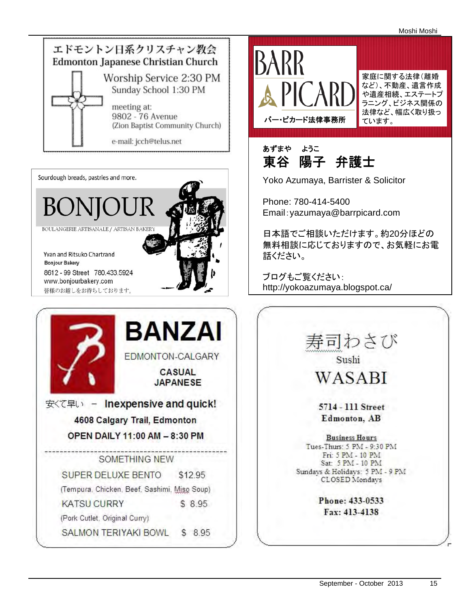Moshi Moshi





**BANZAI** EDMONTON-CALGARY **CASUAL JAPANESE** 安<て早い - Inexpensive and quick! 4608 Calgary Trail, Edmonton **OPEN DAILY 11:00 AM - 8:30 PM** SOMETHING NEW SUPER DELUXE BENTO \$12.95 (Tempura, Chicken, Beef, Sashimi, Miso Soup) **KATSU CURRY** \$ 8.95 (Pork Cutlet, Original Curry)

> **SALMON TERIYAKI BOWL**  $$8.95$





Yoko Azumaya, Barrister & Solicitor

Phone: 780-414-5400 Email:yazumaya@barrpicard.com

日本語でご相談いただけます。約20分ほどの 無料相談に応じておりますので、お気軽にお電 話ください。

ブログもご覧ください: http://yokoazumaya.blogspot.ca/